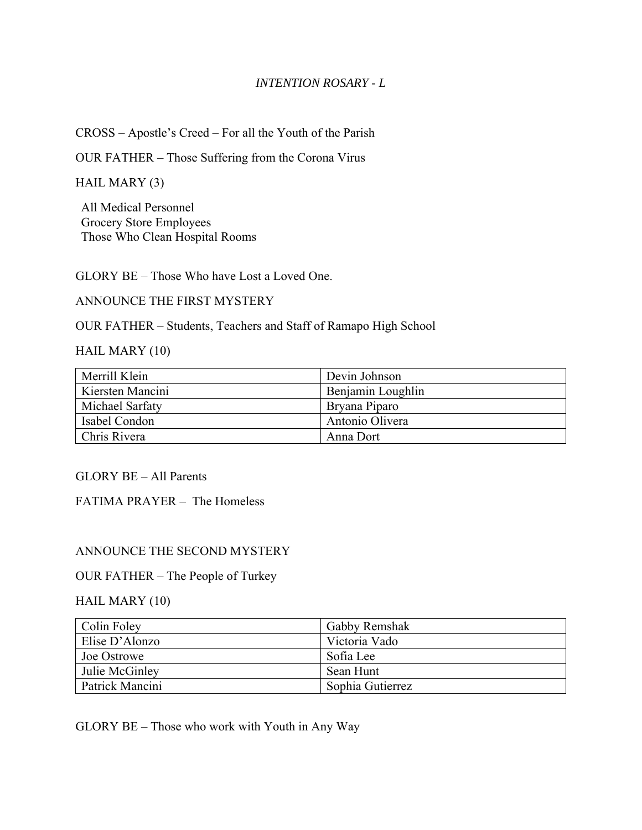## *INTENTION ROSARY - L*

CROSS – Apostle's Creed – For all the Youth of the Parish

OUR FATHER – Those Suffering from the Corona Virus

HAIL MARY (3)

All Medical Personnel Grocery Store Employees Those Who Clean Hospital Rooms

GLORY BE – Those Who have Lost a Loved One.

ANNOUNCE THE FIRST MYSTERY

OUR FATHER – Students, Teachers and Staff of Ramapo High School

#### HAIL MARY (10)

| Merrill Klein    | Devin Johnson     |
|------------------|-------------------|
| Kiersten Mancini | Benjamin Loughlin |
| Michael Sarfaty  | Bryana Piparo     |
| Isabel Condon    | Antonio Olivera   |
| Chris Rivera     | Anna Dort         |

### GLORY BE – All Parents

FATIMA PRAYER – The Homeless

### ANNOUNCE THE SECOND MYSTERY

#### OUR FATHER – The People of Turkey

### HAIL MARY (10)

| Colin Foley     | Gabby Remshak    |
|-----------------|------------------|
| Elise D'Alonzo  | Victoria Vado    |
| Joe Ostrowe     | Sofia Lee        |
| Julie McGinley  | Sean Hunt        |
| Patrick Mancini | Sophia Gutierrez |

GLORY BE – Those who work with Youth in Any Way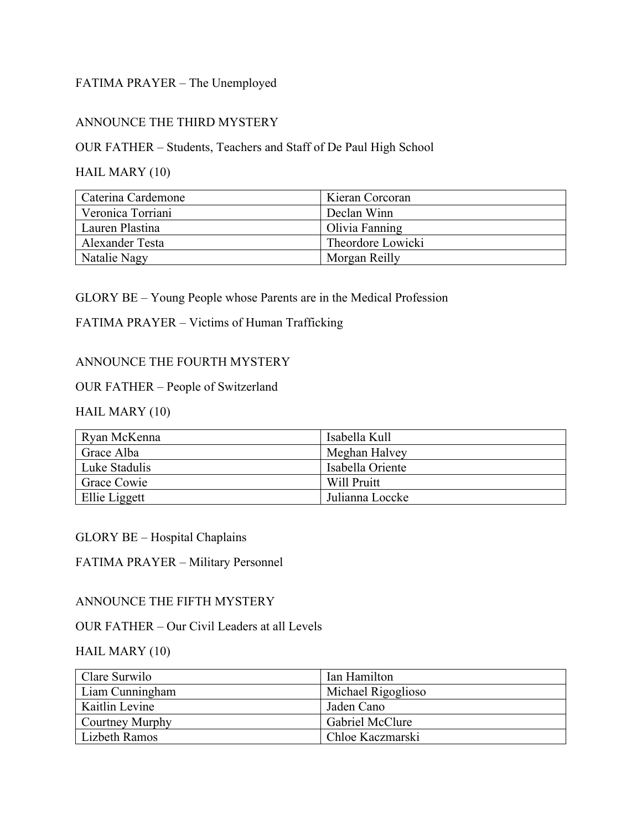## FATIMA PRAYER – The Unemployed

## ANNOUNCE THE THIRD MYSTERY

OUR FATHER – Students, Teachers and Staff of De Paul High School

## HAIL MARY (10)

| Caterina Cardemone | Kieran Corcoran   |
|--------------------|-------------------|
| Veronica Torriani  | Declan Winn       |
| Lauren Plastina    | Olivia Fanning    |
| Alexander Testa    | Theordore Lowicki |
| Natalie Nagy       | Morgan Reilly     |

## GLORY BE – Young People whose Parents are in the Medical Profession

## FATIMA PRAYER – Victims of Human Trafficking

## ANNOUNCE THE FOURTH MYSTERY

## OUR FATHER – People of Switzerland

# HAIL MARY (10)

| Ryan McKenna       | Isabella Kull    |
|--------------------|------------------|
| Grace Alba         | Meghan Halvey    |
| Luke Stadulis      | Isabella Oriente |
| <b>Grace Cowie</b> | Will Pruitt      |
| Ellie Liggett      | Julianna Loccke  |

### GLORY BE – Hospital Chaplains

# FATIMA PRAYER – Military Personnel

### ANNOUNCE THE FIFTH MYSTERY

### OUR FATHER – Our Civil Leaders at all Levels

## HAIL MARY (10)

| Clare Surwilo          | Ian Hamilton           |
|------------------------|------------------------|
| Liam Cunningham        | Michael Rigoglioso     |
| Kaitlin Levine         | Jaden Cano             |
| <b>Courtney Murphy</b> | <b>Gabriel McClure</b> |
| Lizbeth Ramos          | Chloe Kaczmarski       |